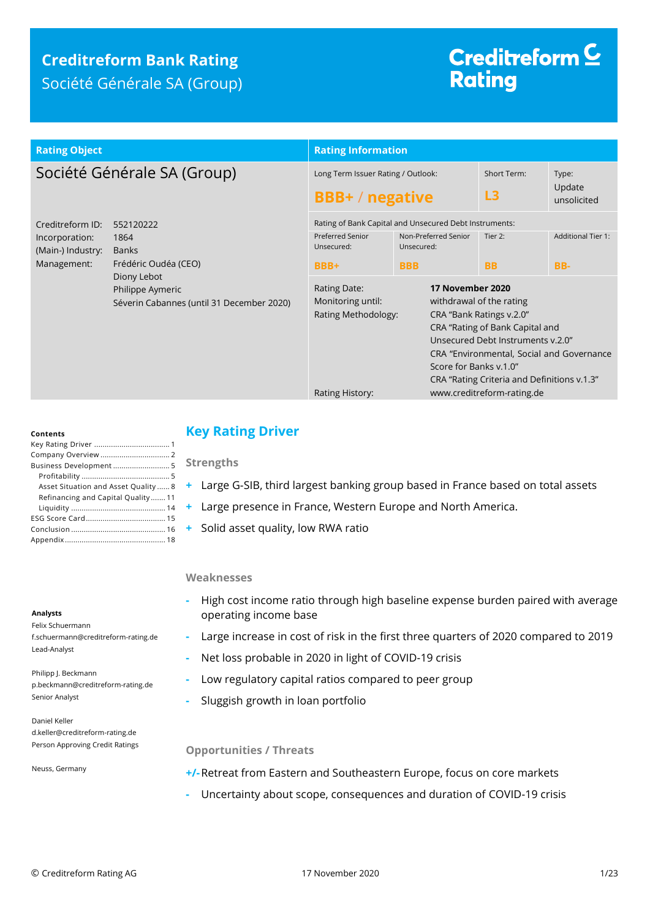## **Creditreform Bank Rating** Société Générale SA (Group)

# Creditreform<sup>C</sup> **Rating**

| <b>Rating Object</b>                                                   |                                                                                                                                           | <b>Rating Information</b>                                                   |                                                                                                                                                                                                                                                                                                      |                      |                                  |  |
|------------------------------------------------------------------------|-------------------------------------------------------------------------------------------------------------------------------------------|-----------------------------------------------------------------------------|------------------------------------------------------------------------------------------------------------------------------------------------------------------------------------------------------------------------------------------------------------------------------------------------------|----------------------|----------------------------------|--|
| Société Générale SA (Group)                                            |                                                                                                                                           | Long Term Issuer Rating / Outlook:<br><b>BBB+/negative</b>                  |                                                                                                                                                                                                                                                                                                      | Short Term:<br>L3    | Type:<br>Update<br>unsolicited   |  |
| Creditreform ID:<br>Incorporation:<br>(Main-) Industry:<br>Management: | 552120222<br>1864<br><b>Banks</b><br>Frédéric Oudéa (CEO)<br>Diony Lebot<br>Philippe Aymeric<br>Séverin Cabannes (until 31 December 2020) | <b>Preferred Senior</b><br>Unsecured:<br>BBB+                               | Rating of Bank Capital and Unsecured Debt Instruments:<br>Non-Preferred Senior<br>Unsecured:<br><b>BBB</b>                                                                                                                                                                                           | Tier 2:<br><b>BB</b> | <b>Additional Tier 1:</b><br>BB- |  |
|                                                                        |                                                                                                                                           | Rating Date:<br>Monitoring until:<br>Rating Methodology:<br>Rating History: | 17 November 2020<br>withdrawal of the rating<br>CRA "Bank Ratings v.2.0"<br>CRA "Rating of Bank Capital and<br>Unsecured Debt Instruments v.2.0"<br>CRA "Environmental, Social and Governance<br>Score for Banks v.1.0"<br>CRA "Rating Criteria and Definitions v.1.3"<br>www.creditreform-rating.de |                      |                                  |  |

#### **Contents**

| Business Development 5               |
|--------------------------------------|
|                                      |
| Asset Situation and Asset Quality  8 |
| Refinancing and Capital Quality 11   |
|                                      |
|                                      |
|                                      |
|                                      |

#### **Analysts**

Felix Schuermann f.schuermann@creditreform-rating.de Lead-Analyst

Philipp J. Beckmann p.beckmann@creditreform-rating.de Senior Analyst

Daniel Keller d.keller@creditreform-rating.de Person Approving Credit Ratings

Neuss, Germany

## <span id="page-0-0"></span>**Key Rating Driver**

**Strengths**

- **+** Large G-SIB, third largest banking group based in France based on total assets
- **+** Large presence in France, Western Europe and North America.
- **+** Solid asset quality, low RWA ratio

### **Weaknesses**

- **-** High cost income ratio through high baseline expense burden paired with average operating income base
- **-** Large increase in cost of risk in the first three quarters of 2020 compared to 2019
- **-** Net loss probable in 2020 in light of COVID-19 crisis
- **-** Low regulatory capital ratios compared to peer group
- **-** Sluggish growth in loan portfolio

### **Opportunities / Threats**

**+/-**Retreat from Eastern and Southeastern Europe, focus on core markets

**-** Uncertainty about scope, consequences and duration of COVID-19 crisis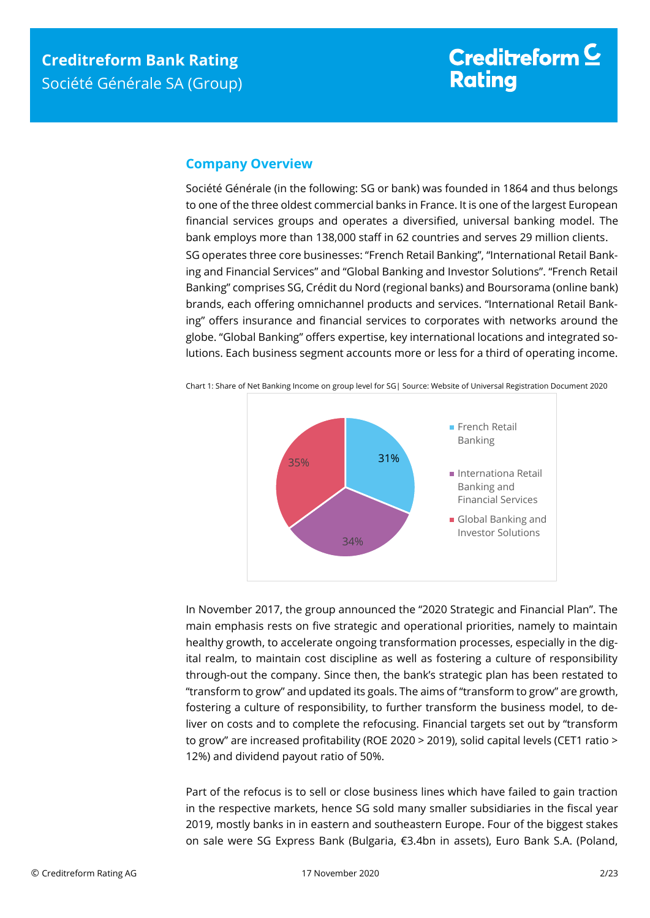## <span id="page-1-0"></span>**Company Overview**

Société Générale (in the following: SG or bank) was founded in 1864 and thus belongs to one of the three oldest commercial banks in France. It is one of the largest European financial services groups and operates a diversified, universal banking model. The bank employs more than 138,000 staff in 62 countries and serves 29 million clients. SG operates three core businesses: "French Retail Banking", "International Retail Banking and Financial Services" and "Global Banking and Investor Solutions". "French Retail Banking" comprises SG, Crédit du Nord (regional banks) and Boursorama (online bank) brands, each offering omnichannel products and services. "International Retail Banking" offers insurance and financial services to corporates with networks around the globe. "Global Banking" offers expertise, key international locations and integrated solutions. Each business segment accounts more or less for a third of operating income.



Chart 1: Share of Net Banking Income on group level for SG| Source: Website of Universal Registration Document 2020

In November 2017, the group announced the "2020 Strategic and Financial Plan". The main emphasis rests on five strategic and operational priorities, namely to maintain healthy growth, to accelerate ongoing transformation processes, especially in the digital realm, to maintain cost discipline as well as fostering a culture of responsibility through-out the company. Since then, the bank's strategic plan has been restated to "transform to grow" and updated its goals. The aims of "transform to grow" are growth, fostering a culture of responsibility, to further transform the business model, to deliver on costs and to complete the refocusing. Financial targets set out by "transform to grow" are increased profitability (ROE 2020 > 2019), solid capital levels (CET1 ratio > 12%) and dividend payout ratio of 50%.

Part of the refocus is to sell or close business lines which have failed to gain traction in the respective markets, hence SG sold many smaller subsidiaries in the fiscal year 2019, mostly banks in in eastern and southeastern Europe. Four of the biggest stakes on sale were SG Express Bank (Bulgaria, €3.4bn in assets), Euro Bank S.A. (Poland,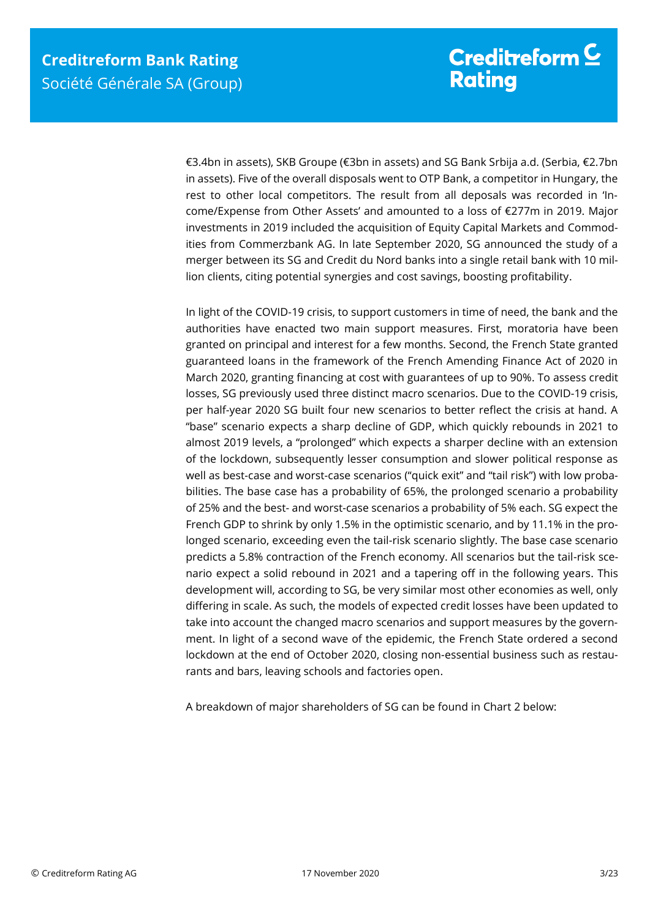€3.4bn in assets), SKB Groupe (€3bn in assets) and SG Bank Srbija a.d. (Serbia, €2.7bn in assets). Five of the overall disposals went to OTP Bank, a competitor in Hungary, the rest to other local competitors. The result from all deposals was recorded in 'Income/Expense from Other Assets' and amounted to a loss of €277m in 2019. Major investments in 2019 included the acquisition of Equity Capital Markets and Commodities from Commerzbank AG. In late September 2020, SG announced the study of a merger between its SG and Credit du Nord banks into a single retail bank with 10 million clients, citing potential synergies and cost savings, boosting profitability.

In light of the COVID-19 crisis, to support customers in time of need, the bank and the authorities have enacted two main support measures. First, moratoria have been granted on principal and interest for a few months. Second, the French State granted guaranteed loans in the framework of the French Amending Finance Act of 2020 in March 2020, granting financing at cost with guarantees of up to 90%. To assess credit losses, SG previously used three distinct macro scenarios. Due to the COVID-19 crisis, per half-year 2020 SG built four new scenarios to better reflect the crisis at hand. A "base" scenario expects a sharp decline of GDP, which quickly rebounds in 2021 to almost 2019 levels, a "prolonged" which expects a sharper decline with an extension of the lockdown, subsequently lesser consumption and slower political response as well as best-case and worst-case scenarios ("quick exit" and "tail risk") with low probabilities. The base case has a probability of 65%, the prolonged scenario a probability of 25% and the best- and worst-case scenarios a probability of 5% each. SG expect the French GDP to shrink by only 1.5% in the optimistic scenario, and by 11.1% in the prolonged scenario, exceeding even the tail-risk scenario slightly. The base case scenario predicts a 5.8% contraction of the French economy. All scenarios but the tail-risk scenario expect a solid rebound in 2021 and a tapering off in the following years. This development will, according to SG, be very similar most other economies as well, only differing in scale. As such, the models of expected credit losses have been updated to take into account the changed macro scenarios and support measures by the government. In light of a second wave of the epidemic, the French State ordered a second lockdown at the end of October 2020, closing non-essential business such as restaurants and bars, leaving schools and factories open.

A breakdown of major shareholders of SG can be found in Chart 2 below: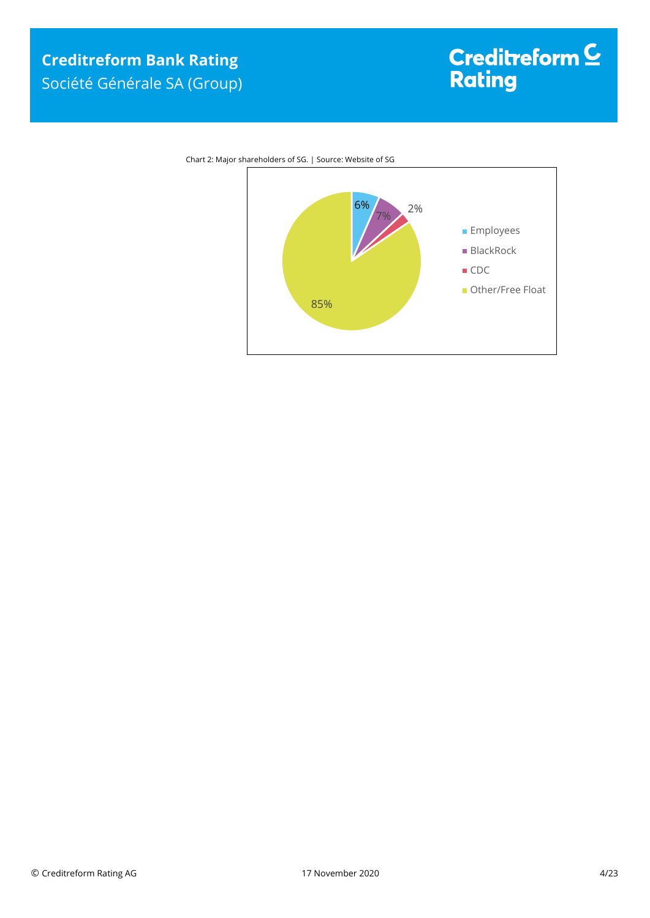

Chart 2: Major shareholders of SG. | Source: Website of SG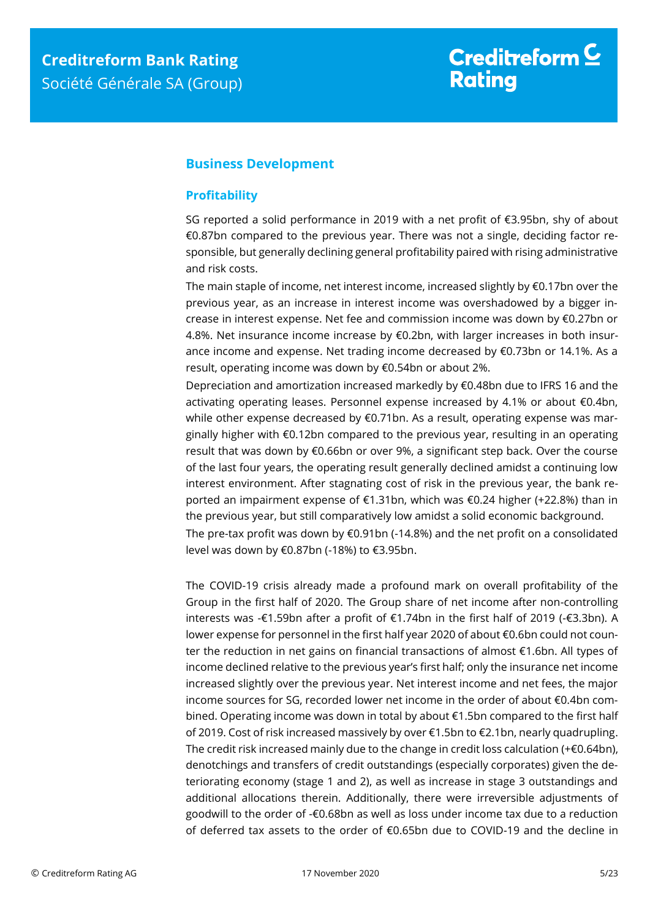## <span id="page-4-0"></span>**Business Development**

## <span id="page-4-1"></span>**Profitability**

SG reported a solid performance in 2019 with a net profit of €3.95bn, shy of about €0.87bn compared to the previous year. There was not a single, deciding factor responsible, but generally declining general profitability paired with rising administrative and risk costs.

The main staple of income, net interest income, increased slightly by €0.17bn over the previous year, as an increase in interest income was overshadowed by a bigger increase in interest expense. Net fee and commission income was down by €0.27bn or 4.8%. Net insurance income increase by €0.2bn, with larger increases in both insurance income and expense. Net trading income decreased by €0.73bn or 14.1%. As a result, operating income was down by €0.54bn or about 2%.

Depreciation and amortization increased markedly by €0.48bn due to IFRS 16 and the activating operating leases. Personnel expense increased by 4.1% or about €0.4bn, while other expense decreased by €0.71bn. As a result, operating expense was marginally higher with €0.12bn compared to the previous year, resulting in an operating result that was down by €0.66bn or over 9%, a significant step back. Over the course of the last four years, the operating result generally declined amidst a continuing low interest environment. After stagnating cost of risk in the previous year, the bank reported an impairment expense of €1.31bn, which was €0.24 higher (+22.8%) than in the previous year, but still comparatively low amidst a solid economic background. The pre-tax profit was down by  $\epsilon$ 0.91bn (-14.8%) and the net profit on a consolidated

level was down by €0.87bn (-18%) to €3.95bn.

The COVID-19 crisis already made a profound mark on overall profitability of the Group in the first half of 2020. The Group share of net income after non-controlling interests was -€1.59bn after a profit of €1.74bn in the first half of 2019 (-€3.3bn). A lower expense for personnel in the first half year 2020 of about €0.6bn could not counter the reduction in net gains on financial transactions of almost €1.6bn. All types of income declined relative to the previous year's first half; only the insurance net income increased slightly over the previous year. Net interest income and net fees, the major income sources for SG, recorded lower net income in the order of about €0.4bn combined. Operating income was down in total by about €1.5bn compared to the first half of 2019. Cost of risk increased massively by over €1.5bn to €2.1bn, nearly quadrupling. The credit risk increased mainly due to the change in credit loss calculation (+ $\epsilon$ 0.64bn), denotchings and transfers of credit outstandings (especially corporates) given the deteriorating economy (stage 1 and 2), as well as increase in stage 3 outstandings and additional allocations therein. Additionally, there were irreversible adjustments of goodwill to the order of -€0.68bn as well as loss under income tax due to a reduction of deferred tax assets to the order of €0.65bn due to COVID-19 and the decline in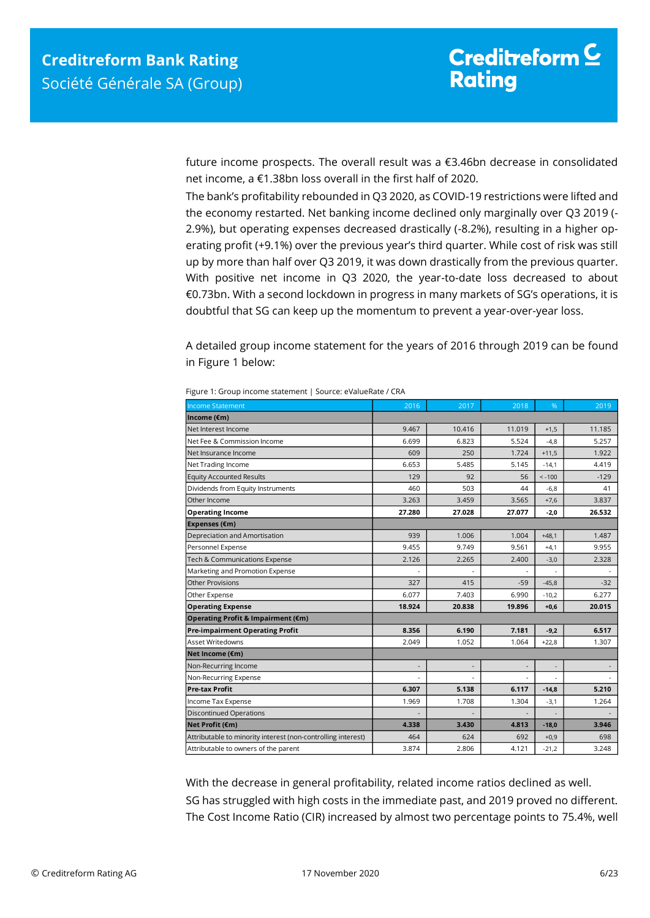future income prospects. The overall result was a €3.46bn decrease in consolidated net income, a €1.38bn loss overall in the first half of 2020.

The bank's profitability rebounded in Q3 2020, as COVID-19 restrictions were lifted and the economy restarted. Net banking income declined only marginally over Q3 2019 (- 2.9%), but operating expenses decreased drastically (-8.2%), resulting in a higher operating profit (+9.1%) over the previous year's third quarter. While cost of risk was still up by more than half over Q3 2019, it was down drastically from the previous quarter. With positive net income in Q3 2020, the year-to-date loss decreased to about €0.73bn. With a second lockdown in progress in many markets of SG's operations, it is doubtful that SG can keep up the momentum to prevent a year-over-year loss.

A detailed group income statement for the years of 2016 through 2019 can be found in Figure 1 below:

| <b>Income Statement</b>                                      | 2016           | 2017   | 2018                     | %                        | 2019   |
|--------------------------------------------------------------|----------------|--------|--------------------------|--------------------------|--------|
| Income (€m)                                                  |                |        |                          |                          |        |
| Net Interest Income                                          | 9.467          | 10.416 | 11.019                   | $+1,5$                   | 11.185 |
| Net Fee & Commission Income                                  | 6.699          | 6.823  | 5.524                    | $-4,8$                   | 5.257  |
| Net Insurance Income                                         | 609            | 250    | 1.724                    | $+11,5$                  | 1.922  |
| Net Trading Income                                           | 6.653          | 5.485  | 5.145                    | $-14,1$                  | 4.419  |
| <b>Equity Accounted Results</b>                              | 129            | 92     | 56                       | $< -100$                 | $-129$ |
| Dividends from Equity Instruments                            | 460            | 503    | 44                       | $-6,8$                   | 41     |
| Other Income                                                 | 3.263          | 3.459  | 3.565                    | $+7,6$                   | 3.837  |
| <b>Operating Income</b>                                      | 27.280         | 27.028 | 27.077                   | $-2,0$                   | 26.532 |
| Expenses (€m)                                                |                |        |                          |                          |        |
| Depreciation and Amortisation                                | 939            | 1.006  | 1.004                    | $+48,1$                  | 1.487  |
| Personnel Expense                                            | 9.455          | 9.749  | 9.561                    | $+4,1$                   | 9.955  |
| Tech & Communications Expense                                | 2.126          | 2.265  | 2.400                    | $-3,0$                   | 2.328  |
| Marketing and Promotion Expense                              |                |        | ÷.                       | ÷,                       |        |
| <b>Other Provisions</b>                                      | 327            | 415    | $-59$                    | $-45,8$                  | $-32$  |
| Other Expense                                                | 6.077          | 7.403  | 6.990                    | $-10,2$                  | 6.277  |
| <b>Operating Expense</b>                                     | 18.924         | 20.838 | 19.896                   | $+0,6$                   | 20.015 |
| Operating Profit & Impairment (€m)                           |                |        |                          |                          |        |
| <b>Pre-impairment Operating Profit</b>                       | 8.356          | 6.190  | 7.181                    | $-9,2$                   | 6.517  |
| Asset Writedowns                                             | 2.049          | 1.052  | 1.064                    | $+22.8$                  | 1.307  |
| Net Income (€m)                                              |                |        |                          |                          |        |
| Non-Recurring Income                                         | $\overline{a}$ |        | $\overline{\phantom{a}}$ | $\overline{\phantom{a}}$ |        |
| Non-Recurring Expense                                        |                |        |                          |                          |        |
| <b>Pre-tax Profit</b>                                        | 6.307          | 5.138  | 6.117                    | $-14,8$                  | 5.210  |
| Income Tax Expense                                           | 1.969          | 1.708  | 1.304                    | $-3,1$                   | 1.264  |
| <b>Discontinued Operations</b>                               |                |        | $\overline{a}$           |                          |        |
| Net Profit (€m)                                              | 4.338          | 3.430  | 4.813                    | $-18,0$                  | 3.946  |
| Attributable to minority interest (non-controlling interest) | 464            | 624    | 692                      | $+0,9$                   | 698    |
| Attributable to owners of the parent                         | 3.874          | 2.806  | 4.121                    | $-21,2$                  | 3.248  |

Figure 1: Group income statement | Source: eValueRate / CRA

With the decrease in general profitability, related income ratios declined as well. SG has struggled with high costs in the immediate past, and 2019 proved no different. The Cost Income Ratio (CIR) increased by almost two percentage points to 75.4%, well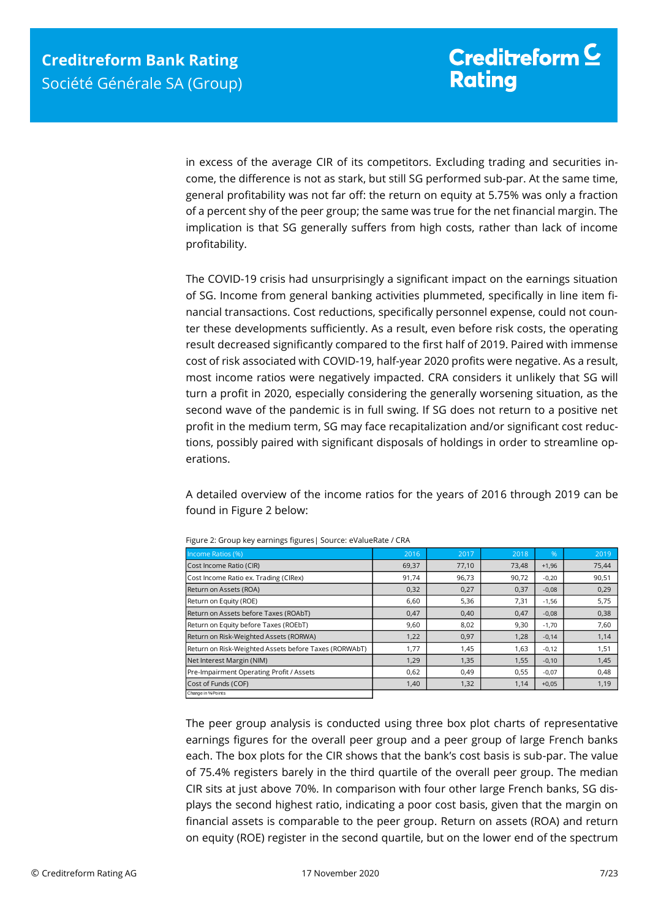in excess of the average CIR of its competitors. Excluding trading and securities income, the difference is not as stark, but still SG performed sub-par. At the same time, general profitability was not far off: the return on equity at 5.75% was only a fraction of a percent shy of the peer group; the same was true for the net financial margin. The implication is that SG generally suffers from high costs, rather than lack of income profitability.

The COVID-19 crisis had unsurprisingly a significant impact on the earnings situation of SG. Income from general banking activities plummeted, specifically in line item financial transactions. Cost reductions, specifically personnel expense, could not counter these developments sufficiently. As a result, even before risk costs, the operating result decreased significantly compared to the first half of 2019. Paired with immense cost of risk associated with COVID-19, half-year 2020 profits were negative. As a result, most income ratios were negatively impacted. CRA considers it unlikely that SG will turn a profit in 2020, especially considering the generally worsening situation, as the second wave of the pandemic is in full swing. If SG does not return to a positive net profit in the medium term, SG may face recapitalization and/or significant cost reductions, possibly paired with significant disposals of holdings in order to streamline operations.

A detailed overview of the income ratios for the years of 2016 through 2019 can be found in Figure 2 below:

| Income Ratios (%)                                                                                                                                                        | 2016                                                                                  | 2017  | 2018  | %       | 2019  |  |
|--------------------------------------------------------------------------------------------------------------------------------------------------------------------------|---------------------------------------------------------------------------------------|-------|-------|---------|-------|--|
| Cost Income Ratio (CIR)                                                                                                                                                  | 69,37                                                                                 | 77,10 | 73,48 | $+1,96$ | 75,44 |  |
| Cost Income Ratio ex. Trading (CIRex)                                                                                                                                    | 91,74                                                                                 | 96,73 | 90,72 | $-0.20$ | 90,51 |  |
| Return on Assets (ROA)                                                                                                                                                   | 0,32                                                                                  | 0,27  | 0,37  | $-0.08$ | 0,29  |  |
| Return on Equity (ROE)                                                                                                                                                   | 6,60                                                                                  | 5,36  | 7,31  | $-1,56$ | 5,75  |  |
| Return on Assets before Taxes (ROAbT)                                                                                                                                    | 0,47                                                                                  | 0,40  | 0.47  | $-0.08$ | 0,38  |  |
| Return on Equity before Taxes (ROEbT)                                                                                                                                    | 9,60                                                                                  | 8,02  | 9,30  | $-1.70$ | 7,60  |  |
| Return on Risk-Weighted Assets (RORWA)                                                                                                                                   | 1,22                                                                                  | 0,97  | 1,28  | $-0.14$ | 1,14  |  |
| Return on Risk-Weighted Assets before Taxes (RORWAbT)                                                                                                                    | 1,77                                                                                  | 1,45  | 1,63  | $-0.12$ | 1,51  |  |
| Net Interest Margin (NIM)                                                                                                                                                | 1.29                                                                                  | 1,35  | 1,55  | $-0.10$ | 1,45  |  |
| Pre-Impairment Operating Profit / Assets                                                                                                                                 | 0.62                                                                                  | 0,49  | 0,55  | $-0.07$ | 0,48  |  |
| Cost of Funds (COF)<br>Change in % Points                                                                                                                                | 1,40                                                                                  | 1,32  | 1,14  | $+0,05$ | 1,19  |  |
| The peer group analysis is conducted using three box plot charts of representative<br>earnings figures for the overall peer group and a peer group of large French banks |                                                                                       |       |       |         |       |  |
| each. The box plots for the CIR shows that the bank's cost basis is sub-par. The value                                                                                   |                                                                                       |       |       |         |       |  |
| of 75.4% registers barely in the third quartile of the overall peer group. The median                                                                                    |                                                                                       |       |       |         |       |  |
|                                                                                                                                                                          | CIR sits at just above 70%. In comparison with four other large French banks, SG dis- |       |       |         |       |  |
| plays the second highest ratio, indicating a poor cost basis, given that the margin on                                                                                   |                                                                                       |       |       |         |       |  |
| financial assets is comparable to the peer group. Return on assets (ROA) and return                                                                                      |                                                                                       |       |       |         |       |  |
| on equity (ROE) register in the second quartile, but on the lower end of the spectrum                                                                                    |                                                                                       |       |       |         |       |  |

Figure 2: Group key earnings figures| Source: eValueRate / CRA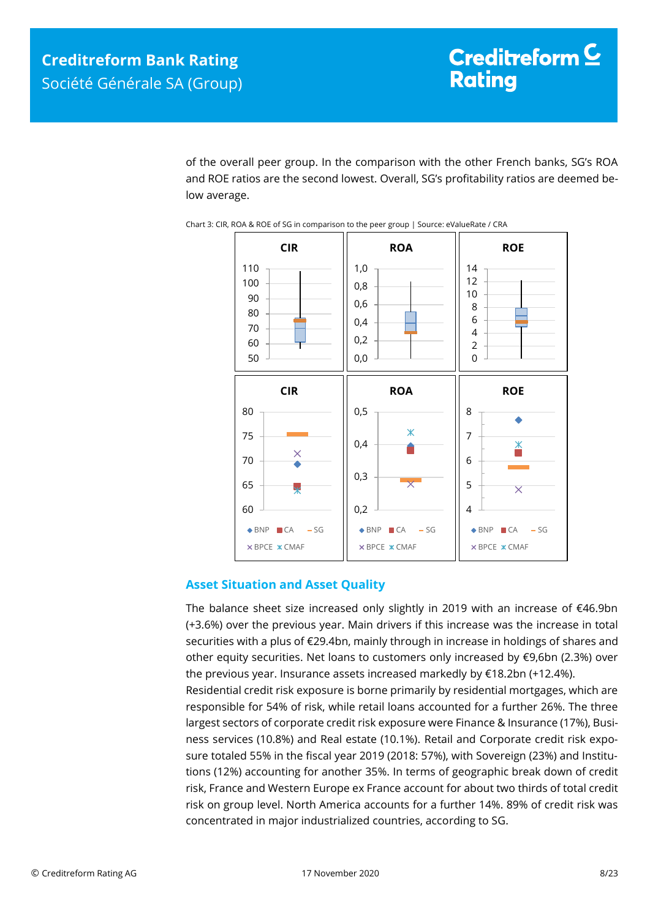of the overall peer group. In the comparison with the other French banks, SG's ROA and ROE ratios are the second lowest. Overall, SG's profitability ratios are deemed below average.





## <span id="page-7-0"></span>**Asset Situation and Asset Quality**

The balance sheet size increased only slightly in 2019 with an increase of €46.9bn (+3.6%) over the previous year. Main drivers if this increase was the increase in total securities with a plus of €29.4bn, mainly through in increase in holdings of shares and other equity securities. Net loans to customers only increased by €9,6bn (2.3%) over the previous year. Insurance assets increased markedly by €18.2bn (+12.4%). Residential credit risk exposure is borne primarily by residential mortgages, which are responsible for 54% of risk, while retail loans accounted for a further 26%. The three largest sectors of corporate credit risk exposure were Finance & Insurance (17%), Business services (10.8%) and Real estate (10.1%). Retail and Corporate credit risk exposure totaled 55% in the fiscal year 2019 (2018: 57%), with Sovereign (23%) and Institutions (12%) accounting for another 35%. In terms of geographic break down of credit risk, France and Western Europe ex France account for about two thirds of total credit risk on group level. North America accounts for a further 14%. 89% of credit risk was concentrated in major industrialized countries, according to SG.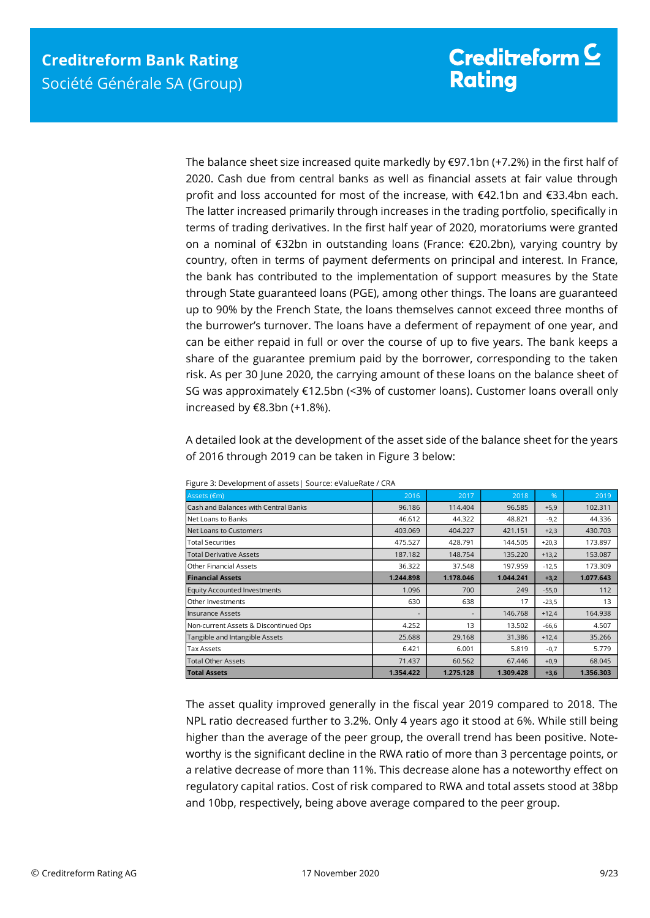The balance sheet size increased quite markedly by  $\epsilon$ 97.1bn (+7.2%) in the first half of 2020. Cash due from central banks as well as financial assets at fair value through profit and loss accounted for most of the increase, with €42.1bn and €33.4bn each. The latter increased primarily through increases in the trading portfolio, specifically in terms of trading derivatives. In the first half year of 2020, moratoriums were granted on a nominal of €32bn in outstanding loans (France: €20.2bn), varying country by country, often in terms of payment deferments on principal and interest. In France, the bank has contributed to the implementation of support measures by the State through State guaranteed loans (PGE), among other things. The loans are guaranteed up to 90% by the French State, the loans themselves cannot exceed three months of the burrower's turnover. The loans have a deferment of repayment of one year, and can be either repaid in full or over the course of up to five years. The bank keeps a share of the guarantee premium paid by the borrower, corresponding to the taken risk. As per 30 June 2020, the carrying amount of these loans on the balance sheet of SG was approximately €12.5bn (<3% of customer loans). Customer loans overall only increased by €8.3bn (+1.8%).

A detailed look at the development of the asset side of the balance sheet for the years of 2016 through 2019 can be taken in Figure 3 below:

| Assets (€m)                           | 2016      | 2017      | 2018      | $\%$    | 2019      |
|---------------------------------------|-----------|-----------|-----------|---------|-----------|
| Cash and Balances with Central Banks  | 96.186    | 114.404   | 96.585    | $+5,9$  | 102.311   |
| Net Loans to Banks                    | 46.612    | 44.322    | 48.821    | $-9,2$  | 44.336    |
| Net Loans to Customers                | 403.069   | 404.227   | 421.151   | $+2,3$  | 430.703   |
| <b>Total Securities</b>               | 475.527   | 428.791   | 144.505   | $+20,3$ | 173.897   |
| <b>Total Derivative Assets</b>        | 187.182   | 148.754   | 135.220   | $+13,2$ | 153.087   |
| <b>Other Financial Assets</b>         | 36.322    | 37.548    | 197.959   | $-12,5$ | 173.309   |
| <b>Financial Assets</b>               | 1.244.898 | 1.178.046 | 1.044.241 | $+3,2$  | 1.077.643 |
| <b>Equity Accounted Investments</b>   | 1.096     | 700       | 249       | $-55,0$ | 112       |
| Other Investments                     | 630       | 638       | 17        | $-23,5$ | 13        |
| Insurance Assets                      |           |           | 146.768   | $+12,4$ | 164.938   |
| Non-current Assets & Discontinued Ops | 4.252     | 13        | 13.502    | $-66,6$ | 4.507     |
| Tangible and Intangible Assets        | 25.688    | 29.168    | 31.386    | $+12,4$ | 35.266    |
| Tax Assets                            | 6.421     | 6.001     | 5.819     | $-0,7$  | 5.779     |
| <b>Total Other Assets</b>             | 71.437    | 60.562    | 67.446    | $+0,9$  | 68.045    |
| <b>Total Assets</b>                   | 1.354.422 | 1.275.128 | 1.309.428 | $+3,6$  | 1.356.303 |

Figure 3: Development of assets| Source: eValueRate / CRA

The asset quality improved generally in the fiscal year 2019 compared to 2018. The NPL ratio decreased further to 3.2%. Only 4 years ago it stood at 6%. While still being higher than the average of the peer group, the overall trend has been positive. Noteworthy is the significant decline in the RWA ratio of more than 3 percentage points, or a relative decrease of more than 11%. This decrease alone has a noteworthy effect on regulatory capital ratios. Cost of risk compared to RWA and total assets stood at 38bp and 10bp, respectively, being above average compared to the peer group.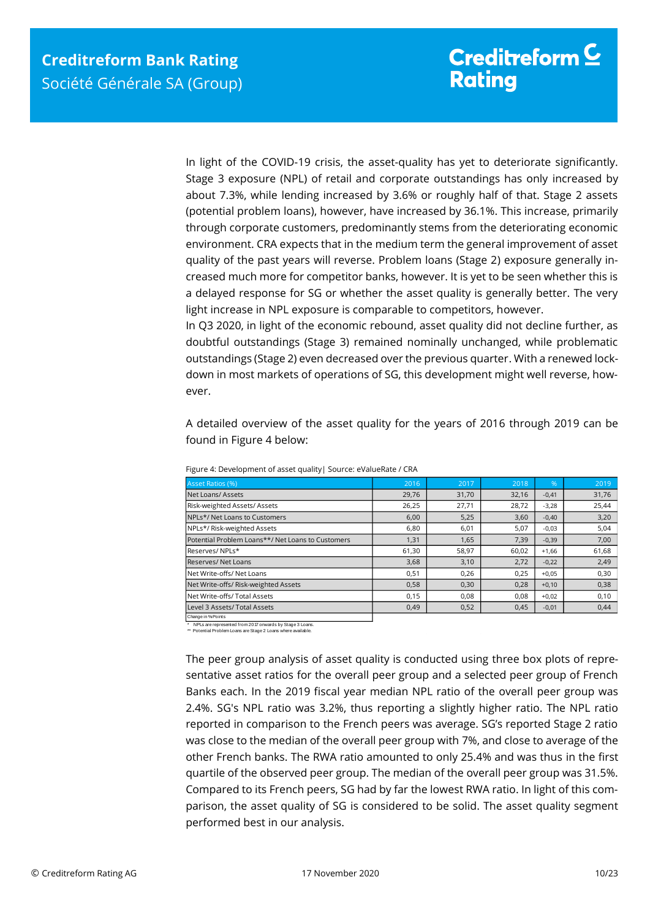In light of the COVID-19 crisis, the asset-quality has yet to deteriorate significantly. Stage 3 exposure (NPL) of retail and corporate outstandings has only increased by about 7.3%, while lending increased by 3.6% or roughly half of that. Stage 2 assets (potential problem loans), however, have increased by 36.1%. This increase, primarily through corporate customers, predominantly stems from the deteriorating economic environment. CRA expects that in the medium term the general improvement of asset quality of the past years will reverse. Problem loans (Stage 2) exposure generally increased much more for competitor banks, however. It is yet to be seen whether this is a delayed response for SG or whether the asset quality is generally better. The very light increase in NPL exposure is comparable to competitors, however.

In Q3 2020, in light of the economic rebound, asset quality did not decline further, as doubtful outstandings (Stage 3) remained nominally unchanged, while problematic outstandings (Stage 2) even decreased over the previous quarter. With a renewed lockdown in most markets of operations of SG, this development might well reverse, however.

A detailed overview of the asset quality for the years of 2016 through 2019 can be found in Figure 4 below:

| Asset Ratios (%)                                  | 2016  | 2017  | 2018  | $\frac{9}{6}$ | 2019  |
|---------------------------------------------------|-------|-------|-------|---------------|-------|
| Net Loans/Assets                                  | 29,76 | 31,70 | 32,16 | $-0,41$       | 31,76 |
| Risk-weighted Assets/Assets                       | 26,25 | 27,71 | 28,72 | $-3,28$       | 25,44 |
| NPLs*/ Net Loans to Customers                     | 6,00  | 5,25  | 3,60  | $-0,40$       | 3,20  |
| NPLs*/ Risk-weighted Assets                       | 6,80  | 6,01  | 5,07  | $-0,03$       | 5,04  |
| Potential Problem Loans**/ Net Loans to Customers | 1,31  | 1,65  | 7,39  | $-0,39$       | 7,00  |
| Reserves/ NPLs*                                   | 61,30 | 58,97 | 60.02 | $+1,66$       | 61,68 |
| <b>Reserves/ Net Loans</b>                        | 3,68  | 3,10  | 2,72  | $-0,22$       | 2,49  |
| Net Write-offs/ Net Loans                         | 0,51  | 0,26  | 0,25  | $+0,05$       | 0,30  |
| Net Write-offs/ Risk-weighted Assets              | 0,58  | 0,30  | 0,28  | $+0,10$       | 0,38  |
| Net Write-offs/ Total Assets                      | 0,15  | 0.08  | 0.08  | $+0,02$       | 0,10  |
| Level 3 Assets/ Total Assets                      | 0,49  | 0,52  | 0,45  | $-0,01$       | 0,44  |
| Change in % Points                                |       |       |       |               |       |

Figure 4: Development of asset quality| Source: eValueRate / CRA

\* NPLs are represented from 2017 onwards by Stage 3 Loans. \*\* Potential Problem Loans are Stage 2 Loans where available.

The peer group analysis of asset quality is conducted using three box plots of representative asset ratios for the overall peer group and a selected peer group of French Banks each. In the 2019 fiscal year median NPL ratio of the overall peer group was 2.4%. SG's NPL ratio was 3.2%, thus reporting a slightly higher ratio. The NPL ratio reported in comparison to the French peers was average. SG's reported Stage 2 ratio was close to the median of the overall peer group with 7%, and close to average of the other French banks. The RWA ratio amounted to only 25.4% and was thus in the first quartile of the observed peer group. The median of the overall peer group was 31.5%. Compared to its French peers, SG had by far the lowest RWA ratio. In light of this comparison, the asset quality of SG is considered to be solid. The asset quality segment performed best in our analysis.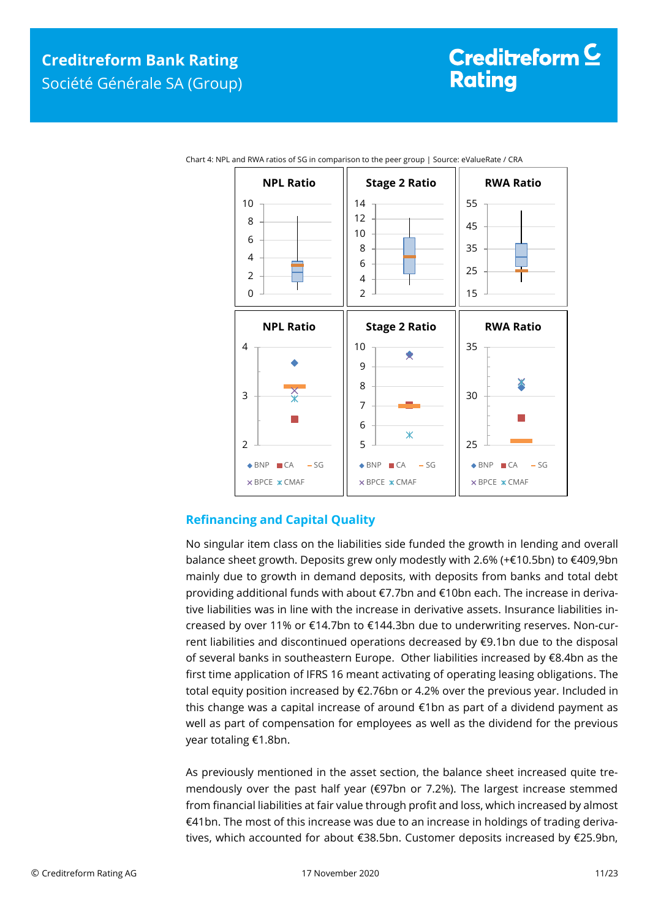

Chart 4: NPL and RWA ratios of SG in comparison to the peer group | Source: eValueRate / CRA

## <span id="page-10-0"></span>**Refinancing and Capital Quality**

No singular item class on the liabilities side funded the growth in lending and overall balance sheet growth. Deposits grew only modestly with 2.6% (+€10.5bn) to €409,9bn mainly due to growth in demand deposits, with deposits from banks and total debt providing additional funds with about €7.7bn and €10bn each. The increase in derivative liabilities was in line with the increase in derivative assets. Insurance liabilities increased by over 11% or €14.7bn to €144.3bn due to underwriting reserves. Non-current liabilities and discontinued operations decreased by €9.1bn due to the disposal of several banks in southeastern Europe. Other liabilities increased by €8.4bn as the first time application of IFRS 16 meant activating of operating leasing obligations. The total equity position increased by €2.76bn or 4.2% over the previous year. Included in this change was a capital increase of around €1bn as part of a dividend payment as well as part of compensation for employees as well as the dividend for the previous year totaling €1.8bn.

As previously mentioned in the asset section, the balance sheet increased quite tremendously over the past half year (€97bn or 7.2%). The largest increase stemmed from financial liabilities at fair value through profit and loss, which increased by almost €41bn. The most of this increase was due to an increase in holdings of trading derivatives, which accounted for about €38.5bn. Customer deposits increased by €25.9bn,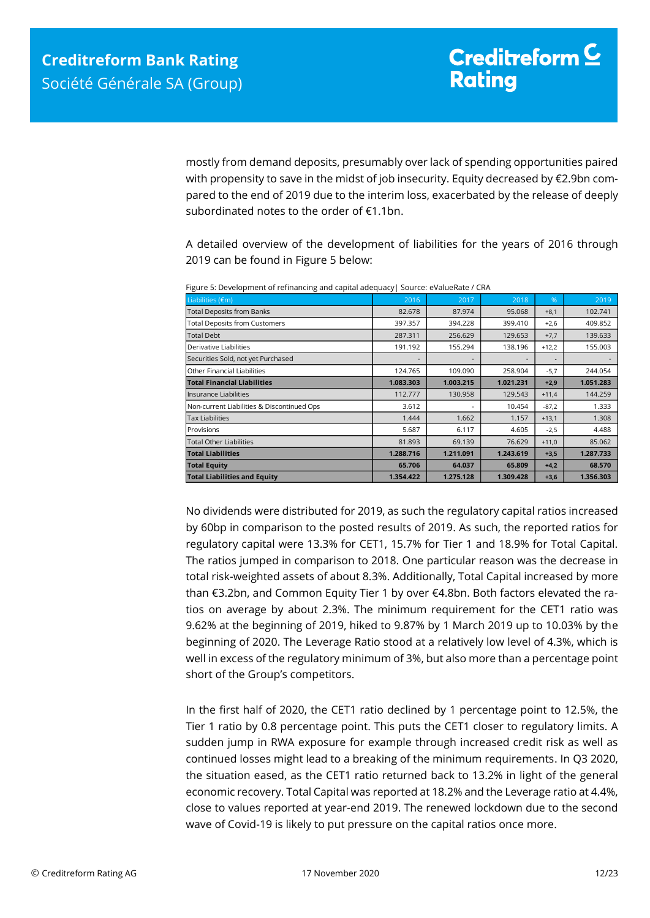mostly from demand deposits, presumably over lack of spending opportunities paired with propensity to save in the midst of job insecurity. Equity decreased by €2.9bn compared to the end of 2019 due to the interim loss, exacerbated by the release of deeply subordinated notes to the order of €1.1bn.

A detailed overview of the development of liabilities for the years of 2016 through 2019 can be found in Figure 5 below:

| Liabilities (€m)                           | 2016      | 2017      | 2018      | $\frac{9}{6}$            | 2019      |
|--------------------------------------------|-----------|-----------|-----------|--------------------------|-----------|
| <b>Total Deposits from Banks</b>           | 82.678    | 87.974    | 95.068    | $+8,1$                   | 102.741   |
| <b>Total Deposits from Customers</b>       | 397.357   | 394.228   | 399.410   | $+2,6$                   | 409.852   |
| <b>Total Debt</b>                          | 287.311   | 256.629   | 129.653   | $+7,7$                   | 139.633   |
| Derivative Liabilities                     | 191.192   | 155.294   | 138.196   | $+12,2$                  | 155.003   |
| Securities Sold, not yet Purchased         |           |           |           | $\overline{\phantom{a}}$ |           |
| Other Financial Liabilities                | 124.765   | 109.090   | 258.904   | $-5,7$                   | 244.054   |
| <b>Total Financial Liabilities</b>         | 1.083.303 | 1.003.215 | 1.021.231 | $+2,9$                   | 1.051.283 |
| Insurance Liabilities                      | 112.777   | 130.958   | 129.543   | $+11,4$                  | 144.259   |
| Non-current Liabilities & Discontinued Ops | 3.612     |           | 10.454    | $-87,2$                  | 1.333     |
| <b>Tax Liabilities</b>                     | 1.444     | 1.662     | 1.157     | $+13,1$                  | 1.308     |
| Provisions                                 | 5.687     | 6.117     | 4.605     | $-2,5$                   | 4.488     |
| <b>Total Other Liabilities</b>             | 81.893    | 69.139    | 76.629    | $+11,0$                  | 85.062    |
| <b>Total Liabilities</b>                   | 1.288.716 | 1.211.091 | 1.243.619 | $+3,5$                   | 1.287.733 |
| <b>Total Equity</b>                        | 65.706    | 64.037    | 65.809    | $+4,2$                   | 68.570    |
| <b>Total Liabilities and Equity</b>        | 1.354.422 | 1.275.128 | 1.309.428 | $+3,6$                   | 1.356.303 |

Figure 5: Development of refinancing and capital adequacy| Source: eValueRate / CRA

No dividends were distributed for 2019, as such the regulatory capital ratios increased by 60bp in comparison to the posted results of 2019. As such, the reported ratios for regulatory capital were 13.3% for CET1, 15.7% for Tier 1 and 18.9% for Total Capital. The ratios jumped in comparison to 2018. One particular reason was the decrease in total risk-weighted assets of about 8.3%. Additionally, Total Capital increased by more than €3.2bn, and Common Equity Tier 1 by over €4.8bn. Both factors elevated the ratios on average by about 2.3%. The minimum requirement for the CET1 ratio was 9.62% at the beginning of 2019, hiked to 9.87% by 1 March 2019 up to 10.03% by the beginning of 2020. The Leverage Ratio stood at a relatively low level of 4.3%, which is well in excess of the regulatory minimum of 3%, but also more than a percentage point short of the Group's competitors.

In the first half of 2020, the CET1 ratio declined by 1 percentage point to 12.5%, the Tier 1 ratio by 0.8 percentage point. This puts the CET1 closer to regulatory limits. A sudden jump in RWA exposure for example through increased credit risk as well as continued losses might lead to a breaking of the minimum requirements. In Q3 2020, the situation eased, as the CET1 ratio returned back to 13.2% in light of the general economic recovery. Total Capital was reported at 18.2% and the Leverage ratio at 4.4%, close to values reported at year-end 2019. The renewed lockdown due to the second wave of Covid-19 is likely to put pressure on the capital ratios once more.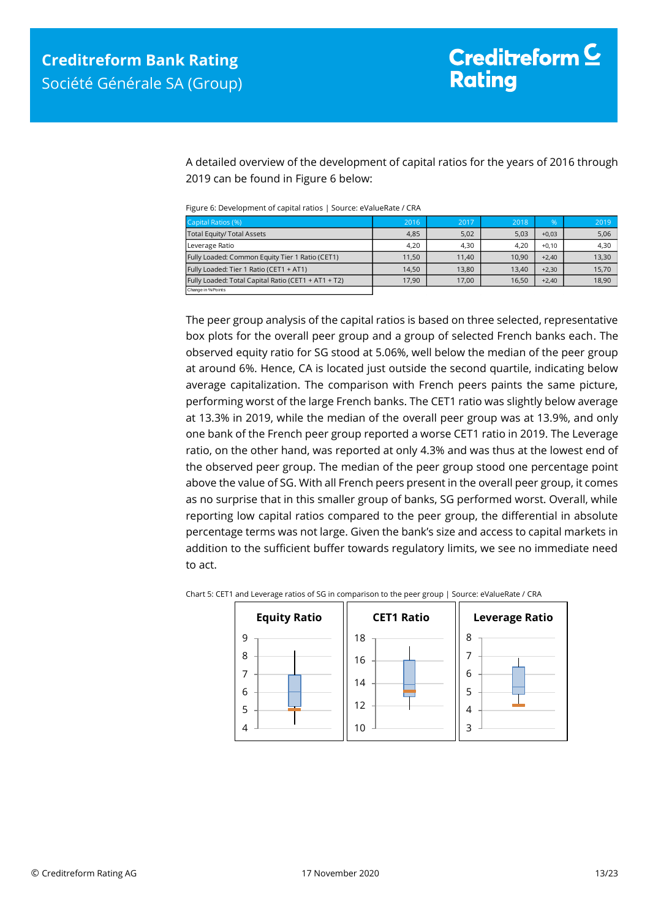A detailed overview of the development of capital ratios for the years of 2016 through 2019 can be found in Figure 6 below:

Figure 6: Development of capital ratios | Source: eValueRate / CRA

| Capital Ratios (%)                                  | 2016  | 2017  | 2018  | $\%$    | 2019  |
|-----------------------------------------------------|-------|-------|-------|---------|-------|
| <b>Total Equity/ Total Assets</b>                   | 4,85  | 5,02  | 5,03  | $+0.03$ | 5,06  |
| Leverage Ratio                                      | 4,20  | 4.30  | 4.20  | $+0.10$ | 4,30  |
| Fully Loaded: Common Equity Tier 1 Ratio (CET1)     | 11.50 | 11.40 | 10.90 | $+2.40$ | 13,30 |
| Fully Loaded: Tier 1 Ratio (CET1 + AT1)             | 14.50 | 13.80 | 13.40 | $+2.30$ | 15,70 |
| Fully Loaded: Total Capital Ratio (CET1 + AT1 + T2) | 17.90 | 17.00 | 16,50 | $+2.40$ | 18,90 |
| Change in % Points                                  |       |       |       |         |       |

The peer group analysis of the capital ratios is based on three selected, representative box plots for the overall peer group and a group of selected French banks each. The observed equity ratio for SG stood at 5.06%, well below the median of the peer group at around 6%. Hence, CA is located just outside the second quartile, indicating below average capitalization. The comparison with French peers paints the same picture, performing worst of the large French banks. The CET1 ratio was slightly below average at 13.3% in 2019, while the median of the overall peer group was at 13.9%, and only one bank of the French peer group reported a worse CET1 ratio in 2019. The Leverage ratio, on the other hand, was reported at only 4.3% and was thus at the lowest end of the observed peer group. The median of the peer group stood one percentage point above the value of SG. With all French peers present in the overall peer group, it comes as no surprise that in this smaller group of banks, SG performed worst. Overall, while reporting low capital ratios compared to the peer group, the differential in absolute percentage terms was not large. Given the bank's size and access to capital markets in addition to the sufficient buffer towards regulatory limits, we see no immediate need to act.



Chart 5: CET1 and Leverage ratios of SG in comparison to the peer group | Source: eValueRate / CRA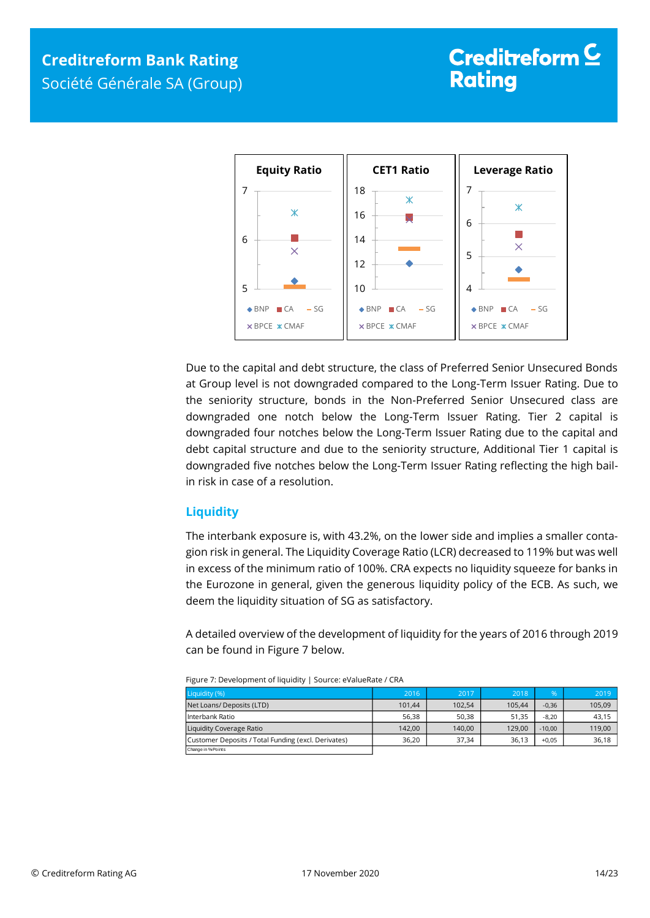

Due to the capital and debt structure, the class of Preferred Senior Unsecured Bonds at Group level is not downgraded compared to the Long-Term Issuer Rating. Due to the seniority structure, bonds in the Non-Preferred Senior Unsecured class are downgraded one notch below the Long-Term Issuer Rating. Tier 2 capital is downgraded four notches below the Long-Term Issuer Rating due to the capital and debt capital structure and due to the seniority structure, Additional Tier 1 capital is downgraded five notches below the Long-Term Issuer Rating reflecting the high bailin risk in case of a resolution.

## <span id="page-13-0"></span>**Liquidity**

The interbank exposure is, with 43.2%, on the lower side and implies a smaller contagion risk in general. The Liquidity Coverage Ratio (LCR) decreased to 119% but was well in excess of the minimum ratio of 100%. CRA expects no liquidity squeeze for banks in the Eurozone in general, given the generous liquidity policy of the ECB. As such, we deem the liquidity situation of SG as satisfactory.

A detailed overview of the development of liquidity for the years of 2016 through 2019 can be found in Figure 7 below.

| .                                                   |                 |        |        |          |        |
|-----------------------------------------------------|-----------------|--------|--------|----------|--------|
| Liquidity (%)                                       | 2016            | 2017   | 2018   | %        | 2019   |
| Net Loans/ Deposits (LTD)                           | 101.44          | 102.54 | 105.44 | $-0,36$  | 105,09 |
| l Interbank Ratio                                   | 56.38           | 50.38  | 51.35  | $-8.20$  | 43.15  |
| Liquidity Coverage Ratio                            | 142.00<br>36.20 | 140.00 | 129.00 | $-10.00$ | 119,00 |
| Customer Deposits / Total Funding (excl. Derivates) |                 | 37.34  | 36.13  | $+0.05$  | 36,18  |
| Change in % Points                                  |                 |        |        |          |        |

| Figure 7: Development of liquidity   Source: eValueRate / CRA |  |
|---------------------------------------------------------------|--|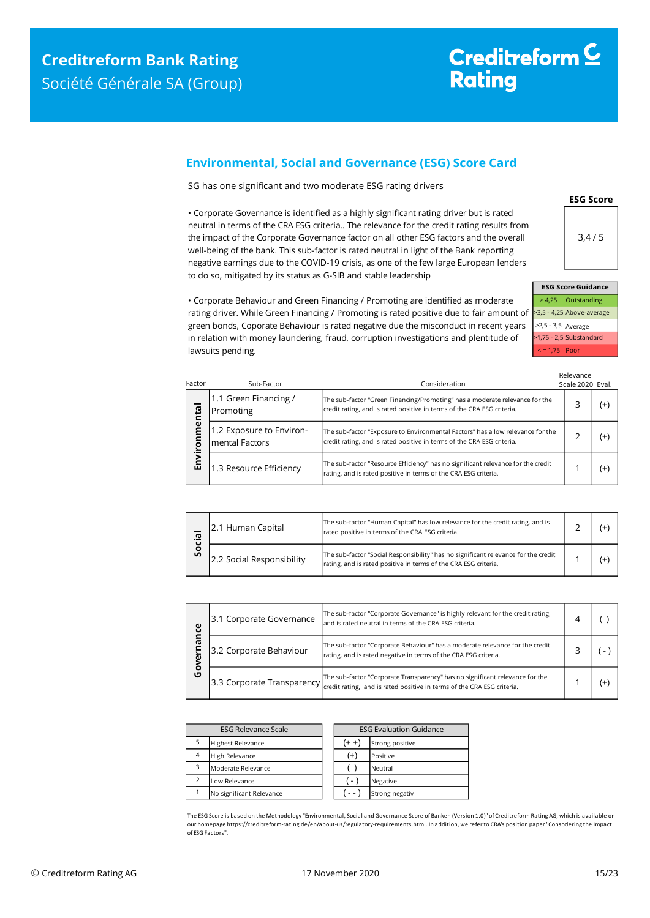**Environmental**

Environmental

Factor

## <span id="page-14-0"></span>**Environmental, Social and Governance (ESG) Score Card**

SG has one significant and two moderate ESG rating drivers

• Corporate Governance is identified as a highly significant rating driver but is rated neutral in terms of the CRA ESG criteria.. The relevance for the credit rating results from the impact of the Corporate Governance factor on all other ESG factors and the overall well-being of the bank. This sub-factor is rated neutral in light of the Bank reporting negative earnings due to the COVID-19 crisis, as one of the few large European lenders to do so, mitigated by its status as G-SIB and stable leadership



**ESG Score**

>3,5 - 4,25 Above-average >2,5 - 3,5 Average >1,75 - 2,5 Substandard < = 1,75 Poor

• Corporate Behaviour and Green Financing / Promoting are identified as moderate rating driver. While Green Financing / Promoting is rated positive due to fair amount of green bonds, Coporate Behaviour is rated negative due the misconduct in recent years in relation with money laundering, fraud, corruption investigations and plentitude of lawsuits pending.

| Sub-Factor                                  | Consideration                                                                                                                                            | Relevance<br>Scale 2020 Eval. |          |
|---------------------------------------------|----------------------------------------------------------------------------------------------------------------------------------------------------------|-------------------------------|----------|
| 1.1 Green Financing /<br>Promoting          | The sub-factor "Green Financing/Promoting" has a moderate relevance for the<br>credit rating, and is rated positive in terms of the CRA ESG criteria.    | 3                             | $^{(+)}$ |
| 1.2 Exposure to Environ-<br>lmental Factors | The sub-factor "Exposure to Environmental Factors" has a low relevance for the<br>credit rating, and is rated positive in terms of the CRA ESG criteria. | 2                             | $^{(+)}$ |
| 1.3 Resource Efficiency                     | The sub-factor "Resource Efficiency" has no significant relevance for the credit<br>rating, and is rated positive in terms of the CRA ESG criteria.      |                               | $^{(+)}$ |

| σ<br><b>S</b> | 2.1 Human Capital         | The sub-factor "Human Capital" has low relevance for the credit rating, and is<br>rated positive in terms of the CRA ESG criteria.                    |  |  |
|---------------|---------------------------|-------------------------------------------------------------------------------------------------------------------------------------------------------|--|--|
|               | 2.2 Social Responsibility | The sub-factor "Social Responsibility" has no significant relevance for the credit<br>rating, and is rated positive in terms of the CRA ESG criteria. |  |  |

| ပ္ပ | 3.1 Corporate Governance | The sub-factor "Corporate Governance" is highly relevant for the credit rating,<br>and is rated neutral in terms of the CRA ESG criteria.                                           |  |    |
|-----|--------------------------|-------------------------------------------------------------------------------------------------------------------------------------------------------------------------------------|--|----|
| ᠭᢐ  | 3.2 Corporate Behaviour  | The sub-factor "Corporate Behaviour" has a moderate relevance for the credit<br>rating, and is rated negative in terms of the CRA ESG criteria.                                     |  |    |
| O   |                          | The sub-factor "Corporate Transparency" has no significant relevance for the<br>[3.3 Corporate Transparency] (redit rating, and is rated positive in terms of the CRA ESG criteria. |  | Ι+ |

| <b>ESG Relevance Scale</b> |                          | <b>ESG Evaluation Guidance</b> |                 |
|----------------------------|--------------------------|--------------------------------|-----------------|
| 5                          | <b>Highest Relevance</b> | (+ +                           | Strong positive |
| $\overline{4}$             | High Relevance           | $^{(+)}$                       | Positive        |
| 3                          | Moderate Relevance       |                                | Neutral         |
| $\mathcal{P}$              | Low Relevance            | $\blacksquare$                 | Negative        |
|                            | No significant Relevance |                                | Strong negativ  |

The ESG Score is based on the Methodology "Environmental, Social and Governance Score of Banken (Version 1.0)" of Creditreform Rating AG, which is available on our homepage https://creditreform-rating.de/en/about-us/regulatory-requirements.html. In addition, we refer to CRA's position paper "Consodering the Impact of ESG Factors".

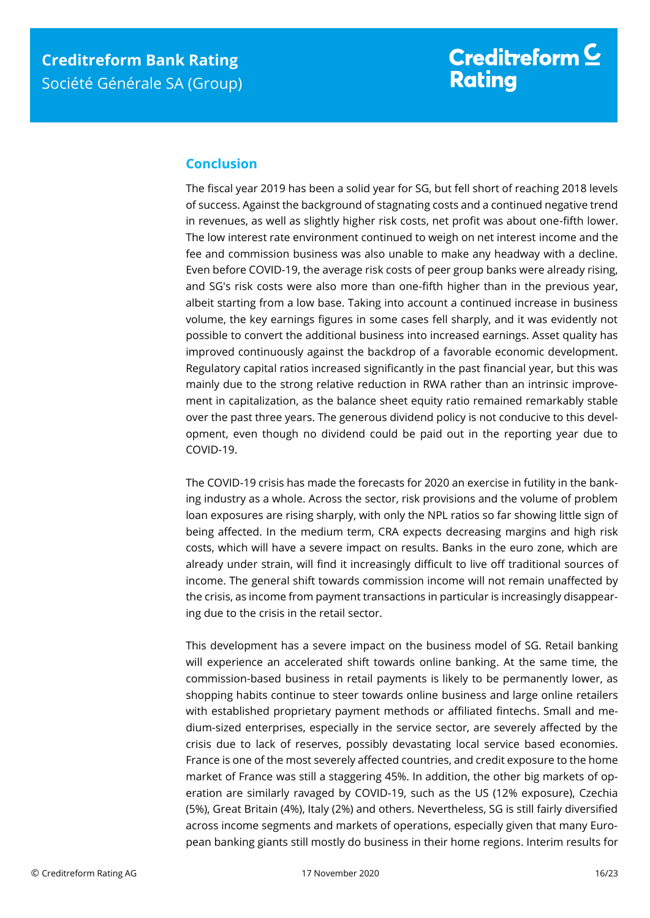## <span id="page-15-0"></span>**Conclusion**

The fiscal year 2019 has been a solid year for SG, but fell short of reaching 2018 levels of success. Against the background of stagnating costs and a continued negative trend in revenues, as well as slightly higher risk costs, net profit was about one-fifth lower. The low interest rate environment continued to weigh on net interest income and the fee and commission business was also unable to make any headway with a decline. Even before COVID-19, the average risk costs of peer group banks were already rising, and SG's risk costs were also more than one-fifth higher than in the previous year, albeit starting from a low base. Taking into account a continued increase in business volume, the key earnings figures in some cases fell sharply, and it was evidently not possible to convert the additional business into increased earnings. Asset quality has improved continuously against the backdrop of a favorable economic development. Regulatory capital ratios increased significantly in the past financial year, but this was mainly due to the strong relative reduction in RWA rather than an intrinsic improvement in capitalization, as the balance sheet equity ratio remained remarkably stable over the past three years. The generous dividend policy is not conducive to this development, even though no dividend could be paid out in the reporting year due to COVID-19.

The COVID-19 crisis has made the forecasts for 2020 an exercise in futility in the banking industry as a whole. Across the sector, risk provisions and the volume of problem loan exposures are rising sharply, with only the NPL ratios so far showing little sign of being affected. In the medium term, CRA expects decreasing margins and high risk costs, which will have a severe impact on results. Banks in the euro zone, which are already under strain, will find it increasingly difficult to live off traditional sources of income. The general shift towards commission income will not remain unaffected by the crisis, as income from payment transactions in particular is increasingly disappearing due to the crisis in the retail sector.

This development has a severe impact on the business model of SG. Retail banking will experience an accelerated shift towards online banking. At the same time, the commission-based business in retail payments is likely to be permanently lower, as shopping habits continue to steer towards online business and large online retailers with established proprietary payment methods or affiliated fintechs. Small and medium-sized enterprises, especially in the service sector, are severely affected by the crisis due to lack of reserves, possibly devastating local service based economies. France is one of the most severely affected countries, and credit exposure to the home market of France was still a staggering 45%. In addition, the other big markets of operation are similarly ravaged by COVID-19, such as the US (12% exposure), Czechia (5%), Great Britain (4%), Italy (2%) and others. Nevertheless, SG is still fairly diversified across income segments and markets of operations, especially given that many European banking giants still mostly do business in their home regions. Interim results for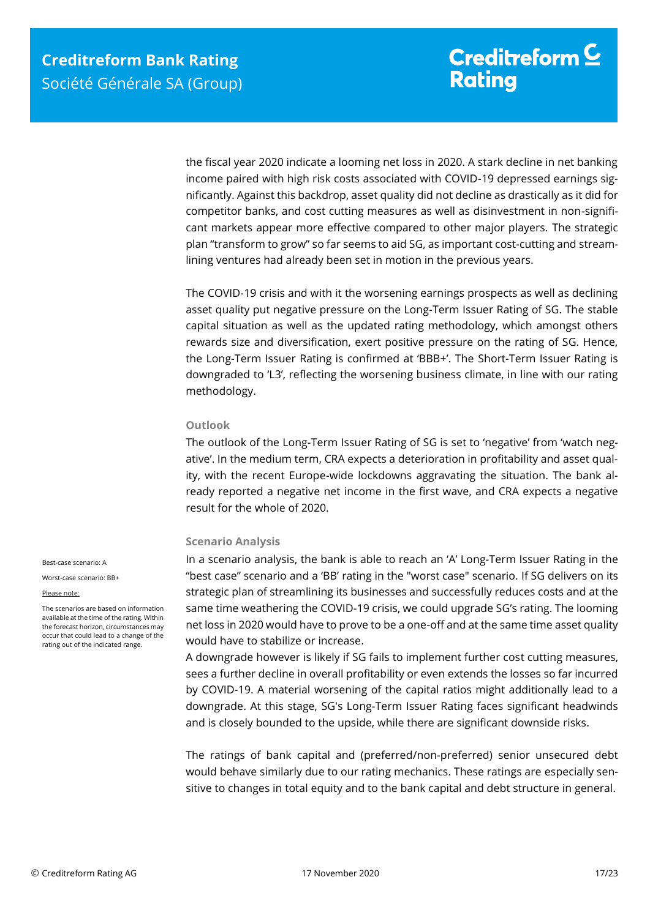the fiscal year 2020 indicate a looming net loss in 2020. A stark decline in net banking income paired with high risk costs associated with COVID-19 depressed earnings significantly. Against this backdrop, asset quality did not decline as drastically as it did for competitor banks, and cost cutting measures as well as disinvestment in non-significant markets appear more effective compared to other major players. The strategic plan "transform to grow" so far seems to aid SG, as important cost-cutting and streamlining ventures had already been set in motion in the previous years.

The COVID-19 crisis and with it the worsening earnings prospects as well as declining asset quality put negative pressure on the Long-Term Issuer Rating of SG. The stable capital situation as well as the updated rating methodology, which amongst others rewards size and diversification, exert positive pressure on the rating of SG. Hence, the Long-Term Issuer Rating is confirmed at 'BBB+'. The Short-Term Issuer Rating is downgraded to 'L3', reflecting the worsening business climate, in line with our rating methodology.

#### **Outlook**

The outlook of the Long-Term Issuer Rating of SG is set to 'negative' from 'watch negative'. In the medium term, CRA expects a deterioration in profitability and asset quality, with the recent Europe-wide lockdowns aggravating the situation. The bank already reported a negative net income in the first wave, and CRA expects a negative result for the whole of 2020.

#### **Scenario Analysis**

In a scenario analysis, the bank is able to reach an 'A' Long-Term Issuer Rating in the "best case" scenario and a 'BB' rating in the "worst case" scenario. If SG delivers on its strategic plan of streamlining its businesses and successfully reduces costs and at the same time weathering the COVID-19 crisis, we could upgrade SG's rating. The looming net loss in 2020 would have to prove to be a one-off and at the same time asset quality would have to stabilize or increase.

A downgrade however is likely if SG fails to implement further cost cutting measures, sees a further decline in overall profitability or even extends the losses so far incurred by COVID-19. A material worsening of the capital ratios might additionally lead to a downgrade. At this stage, SG's Long-Term Issuer Rating faces significant headwinds and is closely bounded to the upside, while there are significant downside risks.

The ratings of bank capital and (preferred/non-preferred) senior unsecured debt would behave similarly due to our rating mechanics. These ratings are especially sensitive to changes in total equity and to the bank capital and debt structure in general.

Best-case scenario: A

Worst-case scenario: BB+

#### Please note:

The scenarios are based on information available at the time of the rating. Within the forecast horizon, circumstances may occur that could lead to a change of the rating out of the indicated range.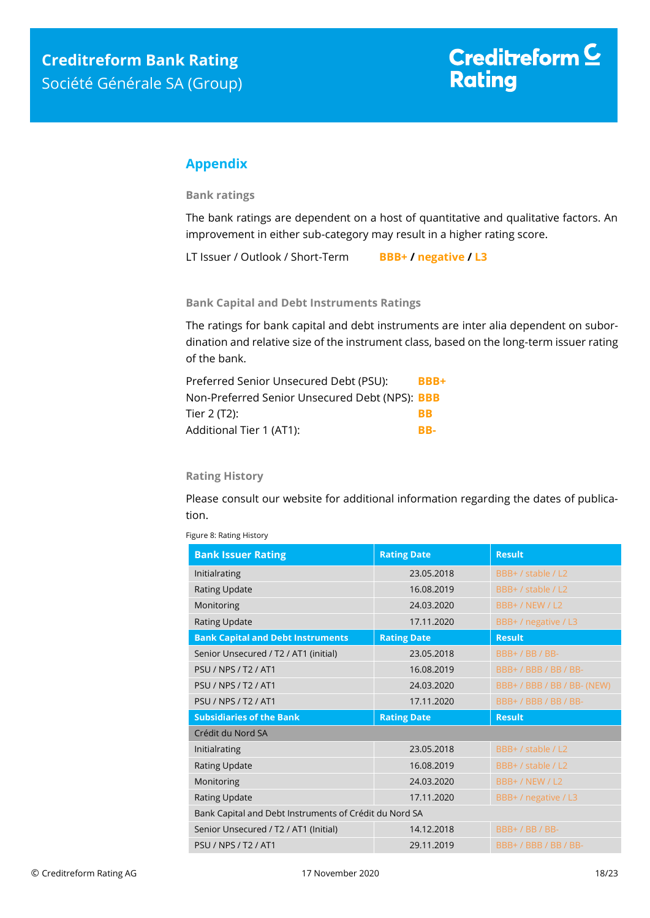## <span id="page-17-0"></span>**Appendix**

**Bank ratings**

The bank ratings are dependent on a host of quantitative and qualitative factors. An improvement in either sub-category may result in a higher rating score.

LT Issuer / Outlook / Short-Term **BBB+ / negative / L3**

**Bank Capital and Debt Instruments Ratings**

The ratings for bank capital and debt instruments are inter alia dependent on subordination and relative size of the instrument class, based on the long-term issuer rating of the bank.

| Preferred Senior Unsecured Debt (PSU):         | BBB+      |
|------------------------------------------------|-----------|
| Non-Preferred Senior Unsecured Debt (NPS): BBB |           |
| Tier 2 (T2):                                   | <b>RR</b> |
| Additional Tier 1 (AT1):                       | RR.       |

#### **Rating History**

Please consult our website for additional information regarding the dates of publication.

| <b>Bank Issuer Rating</b>                              | <b>Rating Date</b> | <b>Result</b>        |  |  |
|--------------------------------------------------------|--------------------|----------------------|--|--|
| Initialrating                                          | 23.05.2018         | BBB+ / stable / L2   |  |  |
| Rating Update                                          | 16.08.2019         | BBB+ / stable / L2   |  |  |
| Monitoring                                             | 24.03.2020         | <b>BBB+/NEW/L2</b>   |  |  |
| <b>Rating Update</b>                                   | 17.11.2020         | BBB+ / negative / L3 |  |  |
| <b>Bank Capital and Debt Instruments</b>               | <b>Rating Date</b> | <b>Result</b>        |  |  |
| Senior Unsecured / T2 / AT1 (initial)                  | 23.05.2018         | BBB+/BB/BB-          |  |  |
| <b>PSU / NPS / T2 / AT1</b>                            | 16.08.2019         | BBB+/BBB/BB/BB-      |  |  |
| <b>PSIJ / NPS / T2 / AT1</b>                           | 24.03.2020         | BBB+/BBB/BB/BB-(NEW) |  |  |
| PSU / NPS / T2 / AT1                                   | 17.11.2020         | BBB+/BBB/BB/BB-      |  |  |
| <b>Subsidiaries of the Bank</b>                        | <b>Rating Date</b> | <b>Result</b>        |  |  |
| Crédit du Nord SA                                      |                    |                      |  |  |
| Initialrating                                          | 23.05.2018         | BBB+ / stable / L2   |  |  |
| Rating Update                                          | 16.08.2019         | BBB+ / stable / L2   |  |  |
| Monitoring                                             | 24.03.2020         | BBB+/NEW/L2          |  |  |
| Rating Update                                          | 17.11.2020         | BBB+ / negative / L3 |  |  |
| Bank Capital and Debt Instruments of Crédit du Nord SA |                    |                      |  |  |
| Senior Unsecured / T2 / AT1 (Initial)                  | 14.12.2018         | BBB+/BB/BB-          |  |  |
| PSIJ/NPS/T2/AT1                                        | 29.11.2019         | BBB+/BBB/BB/BB-      |  |  |

Figure 8: Rating History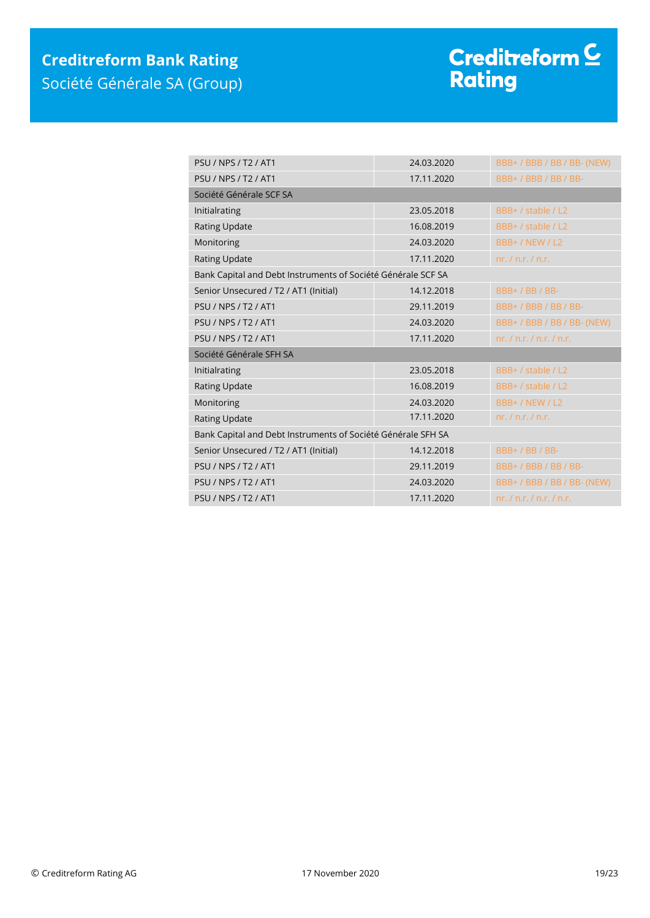# Creditreform <sup>C</sup><br>Rating

| <b>PSU / NPS / T2 / AT1</b>                                  | 24.03.2020 | BBB+ / BBB / BB / BB- (NEW)   |  |  |
|--------------------------------------------------------------|------------|-------------------------------|--|--|
| <b>PSU / NPS / T2 / AT1</b>                                  | 17.11.2020 | BBB+/BBB/BB/BB-               |  |  |
| Société Générale SCF SA                                      |            |                               |  |  |
| Initialrating                                                | 23.05.2018 | BBB+ / stable / L2            |  |  |
| <b>Rating Update</b>                                         | 16.08.2019 | BBB+ / stable / L2            |  |  |
| Monitoring                                                   | 24.03.2020 | BBB+ / NEW / L2               |  |  |
| <b>Rating Update</b>                                         | 17.11.2020 | nr, / n.r, / n.r.             |  |  |
| Bank Capital and Debt Instruments of Société Générale SCF SA |            |                               |  |  |
| Senior Unsecured / T2 / AT1 (Initial)                        | 14.12.2018 | BBB+/BB/BB-                   |  |  |
| <b>PSU / NPS / T2 / AT1</b>                                  | 29.11.2019 | BBB+/BBB/BB/BB-               |  |  |
| <b>PSU / NPS / T2 / AT1</b>                                  | 24.03.2020 | BBB+ / BBB / BB / BB- (NEW)   |  |  |
| <b>PSU / NPS / T2 / AT1</b>                                  | 17.11.2020 | nr, / n.r, / n.r, / n.r.      |  |  |
| Société Générale SFH SA                                      |            |                               |  |  |
| Initialrating                                                | 23.05.2018 | BBB+ / stable / L2            |  |  |
| <b>Rating Update</b>                                         | 16.08.2019 | BBB+ / stable / L2            |  |  |
| Monitoring                                                   | 24.03.2020 | BBB+ / NEW / L2               |  |  |
| Rating Update                                                | 17.11.2020 | nr. / n.r. / n.r.             |  |  |
| Bank Capital and Debt Instruments of Société Générale SFH SA |            |                               |  |  |
| Senior Unsecured / T2 / AT1 (Initial)                        | 14.12.2018 | BBB+/BB/BB-                   |  |  |
| <b>PSU / NPS / T2 / AT1</b>                                  | 29.11.2019 | BBB+/BBB/BB/BB-               |  |  |
| <b>PSU / NPS / T2 / AT1</b>                                  | 24.03.2020 | BBB+/BBB/BB/BB-(NEW)          |  |  |
| <b>PSU / NPS / T2 / AT1</b>                                  | 17.11.2020 | nr, l, n, r, l, n, r, l, n, r |  |  |
|                                                              |            |                               |  |  |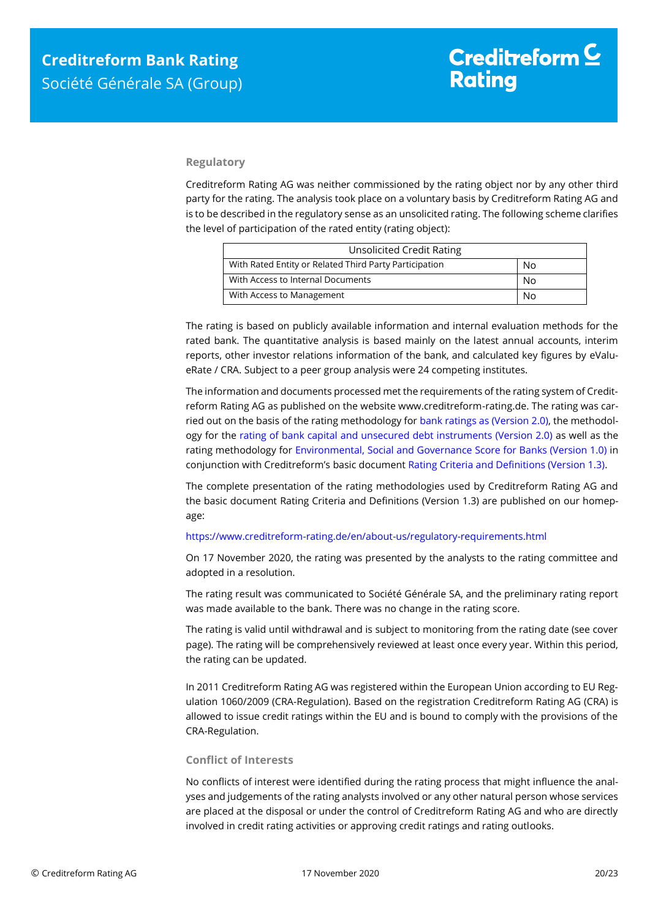#### **Regulatory**

Creditreform Rating AG was neither commissioned by the rating object nor by any other third party for the rating. The analysis took place on a voluntary basis by Creditreform Rating AG and is to be described in the regulatory sense as an unsolicited rating. The following scheme clarifies the level of participation of the rated entity (rating object):

| <b>Unsolicited Credit Rating</b>                       |    |  |
|--------------------------------------------------------|----|--|
| With Rated Entity or Related Third Party Participation | No |  |
| With Access to Internal Documents                      | No |  |
| With Access to Management                              | No |  |

The rating is based on publicly available information and internal evaluation methods for the rated bank. The quantitative analysis is based mainly on the latest annual accounts, interim reports, other investor relations information of the bank, and calculated key figures by eValueRate / CRA. Subject to a peer group analysis were 24 competing institutes.

The information and documents processed met the requirements of the rating system of Creditreform Rating AG as published on the website www.creditreform-rating.de. The rating was carried out on the basis of the rating methodology fo[r bank ratings as \(Version 2.0\),](https://www.creditreform-rating.de/en/about-us/regulatory-requirements.html?file=files/content/downloads/Externes%20Rating/Regulatorische%20Anforderungen/EN/Ratingmethodiken%20EN/Rating%20Methodology%20Bank%20Ratings%20v2.0.pdf) the methodology for the [rating of bank capital and unsecured debt instruments \(Version 2.0\)](https://www.creditreform-rating.de/en/about-us/regulatory-requirements.html?file=files/content/downloads/Externes%20Rating/Regulatorische%20Anforderungen/EN/Ratingmethodiken%20EN/Bank%20Capital%20and%20Unsecured%20Debt%20Instruments%20Methodology.pdf) as well as the rating methodology for [Environmental, Social and Governance Score for Banks \(Version 1.0\)](https://www.creditreform-rating.de/en/about-us/regulatory-requirements.html?file=files/content/downloads/Externes%20Rating/Regulatorische%20Anforderungen/EN/Ratingmethodiken%20EN/Rating%20Methodology%20ESG%20v1.0.pdf) in conjunction with Creditreform's basic documen[t Rating Criteria and Definitions \(Version 1.3\).](https://www.creditreform-rating.de/en/about-us/regulatory-requirements.html?file=files/content/downloads/Externes%20Rating/Regulatorische%20Anforderungen/EN/Ratingmethodiken%20EN/CRAG%20Rating%20Criteria%20and%20Definitions.pdf)

The complete presentation of the rating methodologies used by Creditreform Rating AG and the basic document Rating Criteria and Definitions (Version 1.3) are published on our homepage:

#### <https://www.creditreform-rating.de/en/about-us/regulatory-requirements.html>

On 17 November 2020, the rating was presented by the analysts to the rating committee and adopted in a resolution.

The rating result was communicated to Société Générale SA, and the preliminary rating report was made available to the bank. There was no change in the rating score.

The rating is valid until withdrawal and is subject to monitoring from the rating date (see cover page). The rating will be comprehensively reviewed at least once every year. Within this period, the rating can be updated.

In 2011 Creditreform Rating AG was registered within the European Union according to EU Regulation 1060/2009 (CRA-Regulation). Based on the registration Creditreform Rating AG (CRA) is allowed to issue credit ratings within the EU and is bound to comply with the provisions of the CRA-Regulation.

#### **Conflict of Interests**

No conflicts of interest were identified during the rating process that might influence the analyses and judgements of the rating analysts involved or any other natural person whose services are placed at the disposal or under the control of Creditreform Rating AG and who are directly involved in credit rating activities or approving credit ratings and rating outlooks.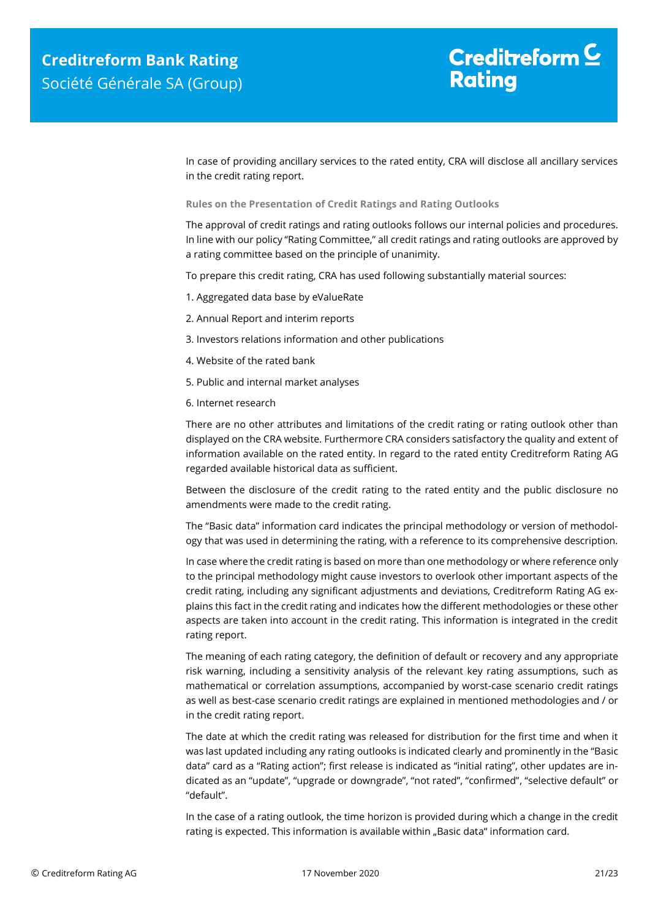In case of providing ancillary services to the rated entity, CRA will disclose all ancillary services in the credit rating report.

**Rules on the Presentation of Credit Ratings and Rating Outlooks**

The approval of credit ratings and rating outlooks follows our internal policies and procedures. In line with our policy "Rating Committee," all credit ratings and rating outlooks are approved by a rating committee based on the principle of unanimity.

To prepare this credit rating, CRA has used following substantially material sources:

- 1. Aggregated data base by eValueRate
- 2. Annual Report and interim reports
- 3. Investors relations information and other publications
- 4. Website of the rated bank
- 5. Public and internal market analyses
- 6. Internet research

There are no other attributes and limitations of the credit rating or rating outlook other than displayed on the CRA website. Furthermore CRA considers satisfactory the quality and extent of information available on the rated entity. In regard to the rated entity Creditreform Rating AG regarded available historical data as sufficient.

Between the disclosure of the credit rating to the rated entity and the public disclosure no amendments were made to the credit rating.

The "Basic data" information card indicates the principal methodology or version of methodology that was used in determining the rating, with a reference to its comprehensive description.

In case where the credit rating is based on more than one methodology or where reference only to the principal methodology might cause investors to overlook other important aspects of the credit rating, including any significant adjustments and deviations, Creditreform Rating AG explains this fact in the credit rating and indicates how the different methodologies or these other aspects are taken into account in the credit rating. This information is integrated in the credit rating report.

The meaning of each rating category, the definition of default or recovery and any appropriate risk warning, including a sensitivity analysis of the relevant key rating assumptions, such as mathematical or correlation assumptions, accompanied by worst-case scenario credit ratings as well as best-case scenario credit ratings are explained in mentioned methodologies and / or in the credit rating report.

The date at which the credit rating was released for distribution for the first time and when it was last updated including any rating outlooks is indicated clearly and prominently in the "Basic data" card as a "Rating action"; first release is indicated as "initial rating", other updates are indicated as an "update", "upgrade or downgrade", "not rated", "confirmed", "selective default" or "default".

In the case of a rating outlook, the time horizon is provided during which a change in the credit rating is expected. This information is available within "Basic data" information card.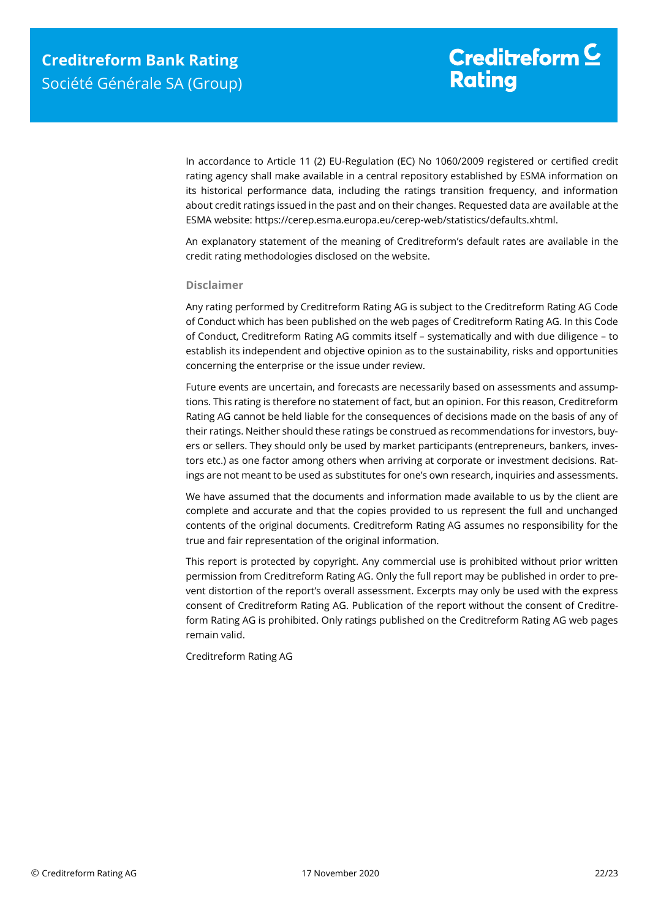In accordance to Article 11 (2) EU-Regulation (EC) No 1060/2009 registered or certified credit rating agency shall make available in a central repository established by ESMA information on its historical performance data, including the ratings transition frequency, and information about credit ratings issued in the past and on their changes. Requested data are available at the ESMA website: https://cerep.esma.europa.eu/cerep-web/statistics/defaults.xhtml.

An explanatory statement of the meaning of Creditreform's default rates are available in the credit rating methodologies disclosed on the website.

#### **Disclaimer**

Any rating performed by Creditreform Rating AG is subject to the Creditreform Rating AG Code of Conduct which has been published on the web pages of Creditreform Rating AG. In this Code of Conduct, Creditreform Rating AG commits itself – systematically and with due diligence – to establish its independent and objective opinion as to the sustainability, risks and opportunities concerning the enterprise or the issue under review.

Future events are uncertain, and forecasts are necessarily based on assessments and assumptions. This rating is therefore no statement of fact, but an opinion. For this reason, Creditreform Rating AG cannot be held liable for the consequences of decisions made on the basis of any of their ratings. Neither should these ratings be construed as recommendations for investors, buyers or sellers. They should only be used by market participants (entrepreneurs, bankers, investors etc.) as one factor among others when arriving at corporate or investment decisions. Ratings are not meant to be used as substitutes for one's own research, inquiries and assessments.

We have assumed that the documents and information made available to us by the client are complete and accurate and that the copies provided to us represent the full and unchanged contents of the original documents. Creditreform Rating AG assumes no responsibility for the true and fair representation of the original information.

This report is protected by copyright. Any commercial use is prohibited without prior written permission from Creditreform Rating AG. Only the full report may be published in order to prevent distortion of the report's overall assessment. Excerpts may only be used with the express consent of Creditreform Rating AG. Publication of the report without the consent of Creditreform Rating AG is prohibited. Only ratings published on the Creditreform Rating AG web pages remain valid.

Creditreform Rating AG